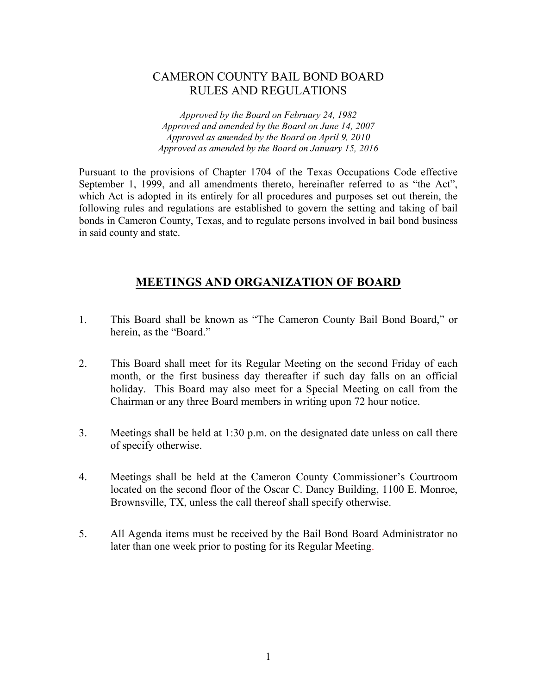#### CAMERON COUNTY BAIL BOND BOARD RULES AND REGULATIONS

*Approved by the Board on February 24, 1982 Approved and amended by the Board on June 14, 2007 Approved as amended by the Board on April 9, 2010 Approved as amended by the Board on January 15, 2016*

Pursuant to the provisions of Chapter 1704 of the Texas Occupations Code effective September 1, 1999, and all amendments thereto, hereinafter referred to as "the Act", which Act is adopted in its entirely for all procedures and purposes set out therein, the following rules and regulations are established to govern the setting and taking of bail bonds in Cameron County, Texas, and to regulate persons involved in bail bond business in said county and state.

#### **MEETINGS AND ORGANIZATION OF BOARD**

- 1. This Board shall be known as "The Cameron County Bail Bond Board," or herein, as the "Board."
- 2. This Board shall meet for its Regular Meeting on the second Friday of each month, or the first business day thereafter if such day falls on an official holiday. This Board may also meet for a Special Meeting on call from the Chairman or any three Board members in writing upon 72 hour notice.
- 3. Meetings shall be held at 1:30 p.m. on the designated date unless on call there of specify otherwise.
- 4. Meetings shall be held at the Cameron County Commissioner's Courtroom located on the second floor of the Oscar C. Dancy Building, 1100 E. Monroe, Brownsville, TX, unless the call thereof shall specify otherwise.
- 5. All Agenda items must be received by the Bail Bond Board Administrator no later than one week prior to posting for its Regular Meeting.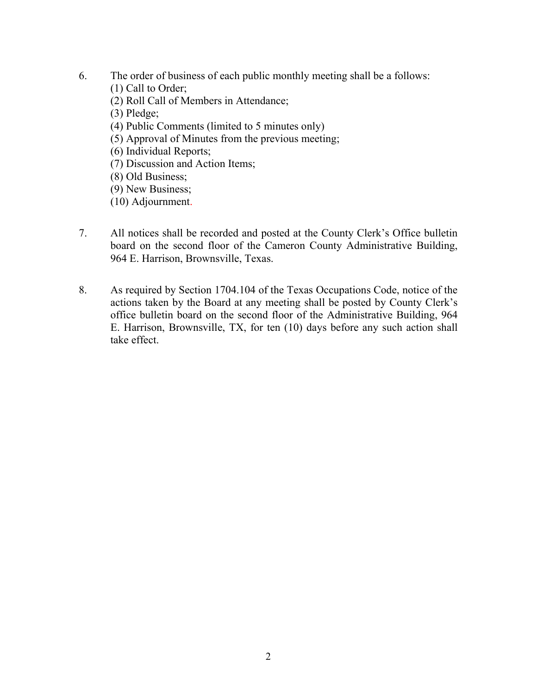- 6. The order of business of each public monthly meeting shall be a follows:
	- (1) Call to Order;
	- (2) Roll Call of Members in Attendance;
	- (3) Pledge;
	- (4) Public Comments (limited to 5 minutes only)
	- (5) Approval of Minutes from the previous meeting;
	- (6) Individual Reports;
	- (7) Discussion and Action Items;
	- (8) Old Business;
	- (9) New Business;
	- (10) Adjournment.
- 7. All notices shall be recorded and posted at the County Clerk's Office bulletin board on the second floor of the Cameron County Administrative Building, 964 E. Harrison, Brownsville, Texas.
- 8. As required by Section 1704.104 of the Texas Occupations Code, notice of the actions taken by the Board at any meeting shall be posted by County Clerk's office bulletin board on the second floor of the Administrative Building, 964 E. Harrison, Brownsville, TX, for ten (10) days before any such action shall take effect.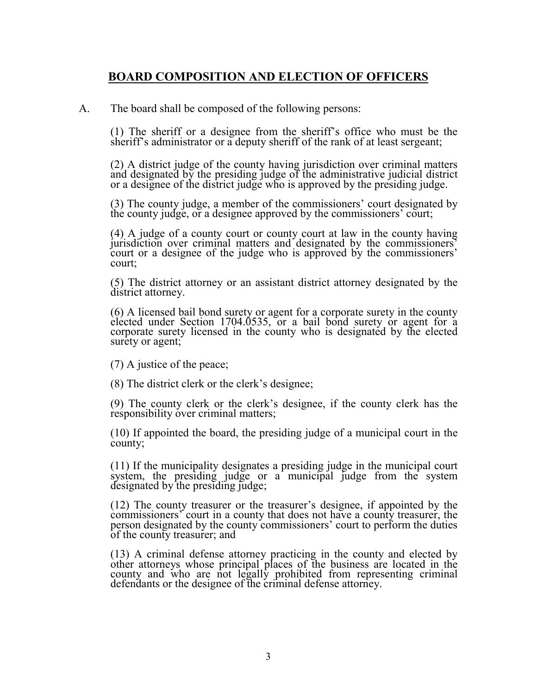#### **BOARD COMPOSITION AND ELECTION OF OFFICERS**

A. The board shall be composed of the following persons:

(1) The sheriff or a designee from the sheriff's office who must be the sheriff's administrator or a deputy sheriff of the rank of at least sergeant;

(2) A district judge of the county having jurisdiction over criminal matters and designated by the presiding judge of the administrative judicial district or a designee of the district judge who is approved by the presiding judge.

(3) The county judge, a member of the commissioners' court designated by the county judge, or a designee approved by the commissioners' court;

(4) A judge of a county court or county court at law in the county having jurisdiction over criminal matters and designated by the commissioners' court or a designee of the judge who is approved by the commissioners' court;

(5) The district attorney or an assistant district attorney designated by the district attorney.

(6) A licensed bail bond surety or agent for a corporate surety in the county elected under Section 1704.0535, or a bail bond surety or agent for a corporate surety licensed in the county who is designated by the elected corporate surety licensed in the county who is designated by the elected surety or agent;

(7) A justice of the peace;

(8) The district clerk or the clerk's designee;

(9) The county clerk or the clerk's designee, if the county clerk has the responsibility over criminal matters;

(10) If appointed the board, the presiding judge of a municipal court in the county;

(11) If the municipality designates a presiding judge in the municipal court system, the presiding judge or a municipal judge from the system designated by the presiding judge;

(12) The county treasurer or the treasurer's designee, if appointed by the commissioners' court in a county that does not have a county treasurer, the person designated by the county commissioners' court to perform the duties of the county treasurer; and

(13) A criminal defense attorney practicing in the county and elected by other attorneys whose principal places of the business are located in the county and who are not legally prohibited from representing criminal defendants or the designee of the criminal defense attorney.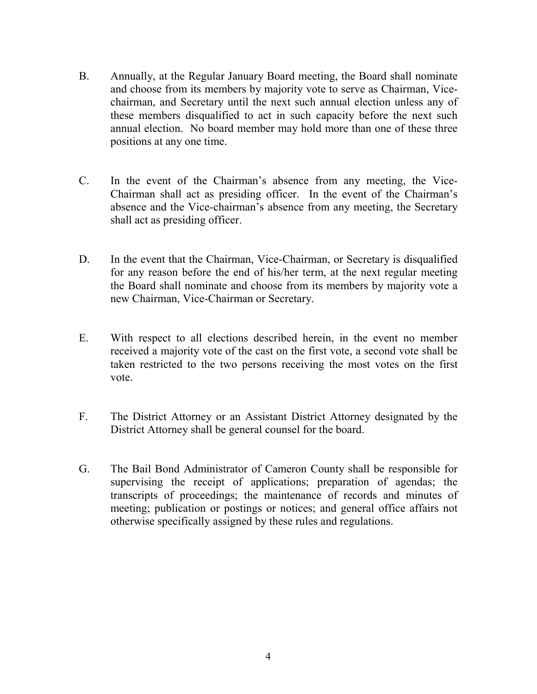- B. Annually, at the Regular January Board meeting, the Board shall nominate and choose from its members by majority vote to serve as Chairman, Vicechairman, and Secretary until the next such annual election unless any of these members disqualified to act in such capacity before the next such annual election. No board member may hold more than one of these three positions at any one time.
- C. In the event of the Chairman's absence from any meeting, the Vice-Chairman shall act as presiding officer. In the event of the Chairman's absence and the Vice-chairman's absence from any meeting, the Secretary shall act as presiding officer.
- D. In the event that the Chairman, Vice-Chairman, or Secretary is disqualified for any reason before the end of his/her term, at the next regular meeting the Board shall nominate and choose from its members by majority vote a new Chairman, Vice-Chairman or Secretary.
- E. With respect to all elections described herein, in the event no member received a majority vote of the cast on the first vote, a second vote shall be taken restricted to the two persons receiving the most votes on the first vote.
- F. The District Attorney or an Assistant District Attorney designated by the District Attorney shall be general counsel for the board.
- G. The Bail Bond Administrator of Cameron County shall be responsible for supervising the receipt of applications; preparation of agendas; the transcripts of proceedings; the maintenance of records and minutes of meeting; publication or postings or notices; and general office affairs not otherwise specifically assigned by these rules and regulations.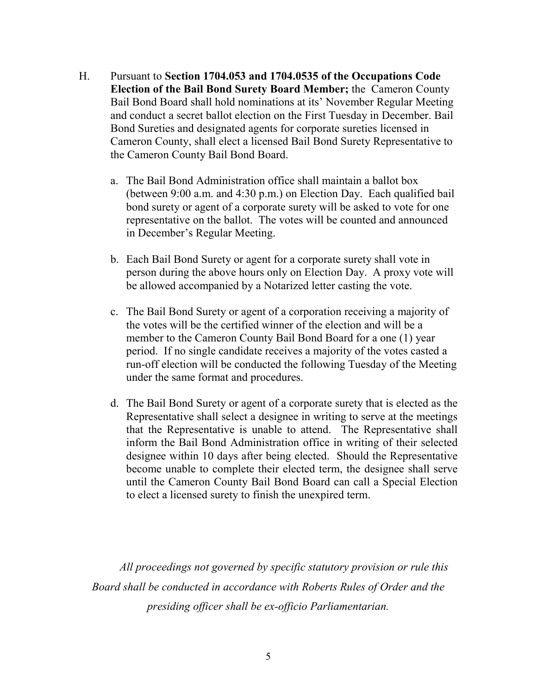- H. Pursuant to **Section 1704.053 and 1704.0535 of the Occupations Code Election of the Bail Bond Surety Board Member;** the Cameron County Bail Bond Board shall hold nominations at its' November Regular Meeting and conduct a secret ballot election on the First Tuesday in December. Bail Bond Sureties and designated agents for corporate sureties licensed in Cameron County, shall elect a licensed Bail Bond Surety Representative to the Cameron County Bail Bond Board.
	- a. The Bail Bond Administration office shall maintain a ballot box (between 9:00 a.m. and 4:30 p.m.) on Election Day. Each qualified bail bond surety or agent of a corporate surety will be asked to vote for one representative on the ballot. The votes will be counted and announced in December's Regular Meeting.
	- b. Each Bail Bond Surety or agent for a corporate surety shall vote in person during the above hours only on Election Day. A proxy vote will be allowed accompanied by a Notarized letter casting the vote.
	- c. The Bail Bond Surety or agent of a corporation receiving a majority of the votes will be the certified winner of the election and will be a member to the Cameron County Bail Bond Board for a one (1) year period. If no single candidate receives a majority of the votes casted a run-off election will be conducted the following Tuesday of the Meeting under the same format and procedures.
	- d. The Bail Bond Surety or agent of a corporate surety that is elected as the Representative shall select a designee in writing to serve at the meetings that the Representative is unable to attend. The Representative shall inform the Bail Bond Administration office in writing of their selected designee within 10 days after being elected. Should the Representative become unable to complete their elected term, the designee shall serve until the Cameron County Bail Bond Board can call a Special Election to elect a licensed surety to finish the unexpired term.

*All proceedings not governed by specific statutory provision or rule this Board shall be conducted in accordance with Roberts Rules of Order and the presiding officer shall be ex-officio Parliamentarian.*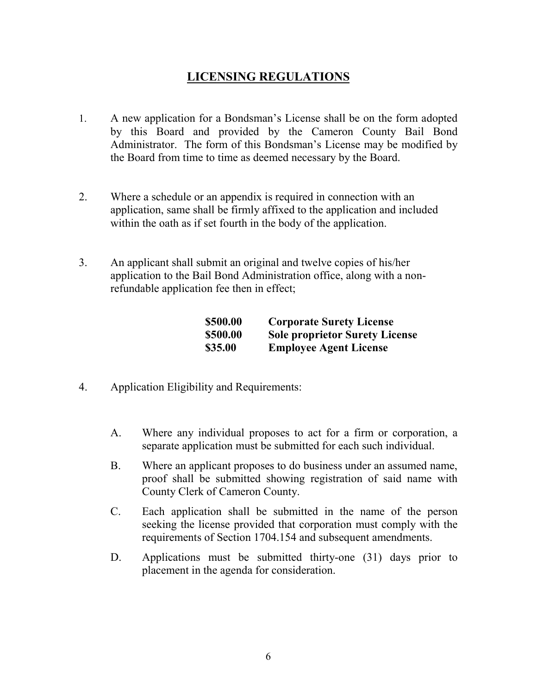### **LICENSING REGULATIONS**

- 1. A new application for a Bondsman's License shall be on the form adopted by this Board and provided by the Cameron County Bail Bond Administrator. The form of this Bondsman's License may be modified by the Board from time to time as deemed necessary by the Board.
- 2. Where a schedule or an appendix is required in connection with an application, same shall be firmly affixed to the application and included within the oath as if set fourth in the body of the application.
- 3. An applicant shall submit an original and twelve copies of his/her application to the Bail Bond Administration office, along with a nonrefundable application fee then in effect;

| \$500.00 | <b>Corporate Surety License</b>       |
|----------|---------------------------------------|
| \$500.00 | <b>Sole proprietor Surety License</b> |
| \$35.00  | <b>Employee Agent License</b>         |

- 4. Application Eligibility and Requirements:
	- A. Where any individual proposes to act for a firm or corporation, a separate application must be submitted for each such individual.
	- B. Where an applicant proposes to do business under an assumed name, proof shall be submitted showing registration of said name with County Clerk of Cameron County.
	- C. Each application shall be submitted in the name of the person seeking the license provided that corporation must comply with the requirements of Section 1704.154 and subsequent amendments.
	- D. Applications must be submitted thirty-one (31) days prior to placement in the agenda for consideration.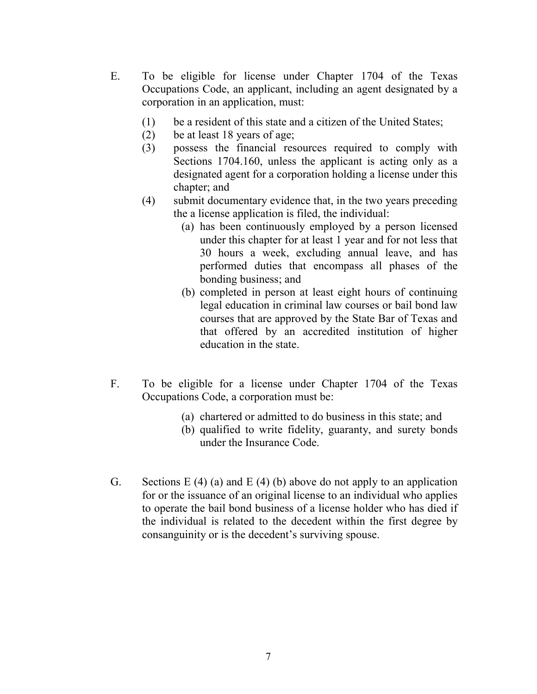- E. To be eligible for license under Chapter 1704 of the Texas Occupations Code, an applicant, including an agent designated by a corporation in an application, must:
	- (1) be a resident of this state and a citizen of the United States;
	- (2) be at least 18 years of age;
	- (3) possess the financial resources required to comply with Sections 1704.160, unless the applicant is acting only as a designated agent for a corporation holding a license under this chapter; and
	- (4) submit documentary evidence that, in the two years preceding the a license application is filed, the individual:
		- (a) has been continuously employed by a person licensed under this chapter for at least 1 year and for not less that 30 hours a week, excluding annual leave, and has performed duties that encompass all phases of the bonding business; and
		- (b) completed in person at least eight hours of continuing legal education in criminal law courses or bail bond law courses that are approved by the State Bar of Texas and that offered by an accredited institution of higher education in the state.
- F. To be eligible for a license under Chapter 1704 of the Texas Occupations Code, a corporation must be:
	- (a) chartered or admitted to do business in this state; and
	- (b) qualified to write fidelity, guaranty, and surety bonds under the Insurance Code.
- G. Sections E (4) (a) and E (4) (b) above do not apply to an application for or the issuance of an original license to an individual who applies to operate the bail bond business of a license holder who has died if the individual is related to the decedent within the first degree by consanguinity or is the decedent's surviving spouse.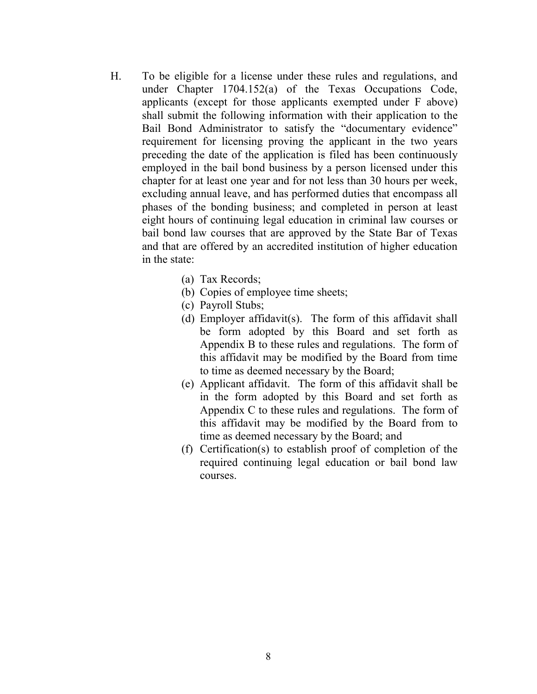- H. To be eligible for a license under these rules and regulations, and under Chapter 1704.152(a) of the Texas Occupations Code, applicants (except for those applicants exempted under F above) shall submit the following information with their application to the Bail Bond Administrator to satisfy the "documentary evidence" requirement for licensing proving the applicant in the two years preceding the date of the application is filed has been continuously employed in the bail bond business by a person licensed under this chapter for at least one year and for not less than 30 hours per week, excluding annual leave, and has performed duties that encompass all phases of the bonding business; and completed in person at least eight hours of continuing legal education in criminal law courses or bail bond law courses that are approved by the State Bar of Texas and that are offered by an accredited institution of higher education in the state:
	- (a) Tax Records;
	- (b) Copies of employee time sheets;
	- (c) Payroll Stubs;
	- (d) Employer affidavit(s). The form of this affidavit shall be form adopted by this Board and set forth as Appendix B to these rules and regulations. The form of this affidavit may be modified by the Board from time to time as deemed necessary by the Board;
	- (e) Applicant affidavit. The form of this affidavit shall be in the form adopted by this Board and set forth as Appendix C to these rules and regulations. The form of this affidavit may be modified by the Board from to time as deemed necessary by the Board; and
	- (f) Certification(s) to establish proof of completion of the required continuing legal education or bail bond law courses.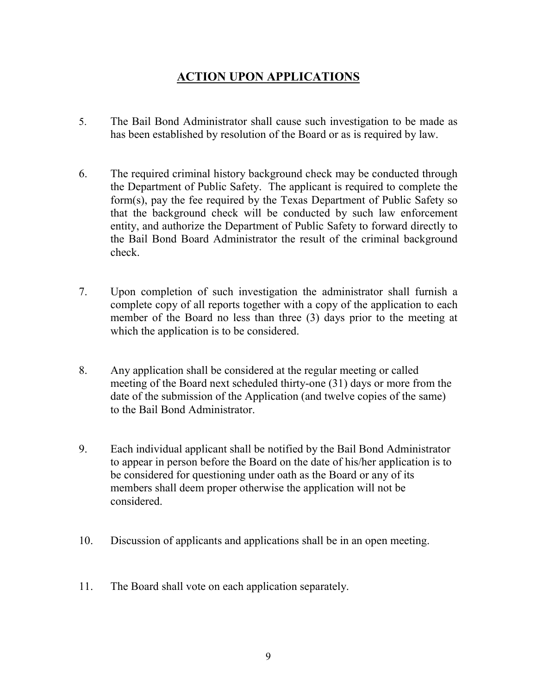## **ACTION UPON APPLICATIONS**

- 5. The Bail Bond Administrator shall cause such investigation to be made as has been established by resolution of the Board or as is required by law.
- 6. The required criminal history background check may be conducted through the Department of Public Safety. The applicant is required to complete the form(s), pay the fee required by the Texas Department of Public Safety so that the background check will be conducted by such law enforcement entity, and authorize the Department of Public Safety to forward directly to the Bail Bond Board Administrator the result of the criminal background check.
- 7. Upon completion of such investigation the administrator shall furnish a complete copy of all reports together with a copy of the application to each member of the Board no less than three (3) days prior to the meeting at which the application is to be considered.
- 8. Any application shall be considered at the regular meeting or called meeting of the Board next scheduled thirty-one (31) days or more from the date of the submission of the Application (and twelve copies of the same) to the Bail Bond Administrator.
- 9. Each individual applicant shall be notified by the Bail Bond Administrator to appear in person before the Board on the date of his/her application is to be considered for questioning under oath as the Board or any of its members shall deem proper otherwise the application will not be considered.
- 10. Discussion of applicants and applications shall be in an open meeting.
- 11. The Board shall vote on each application separately.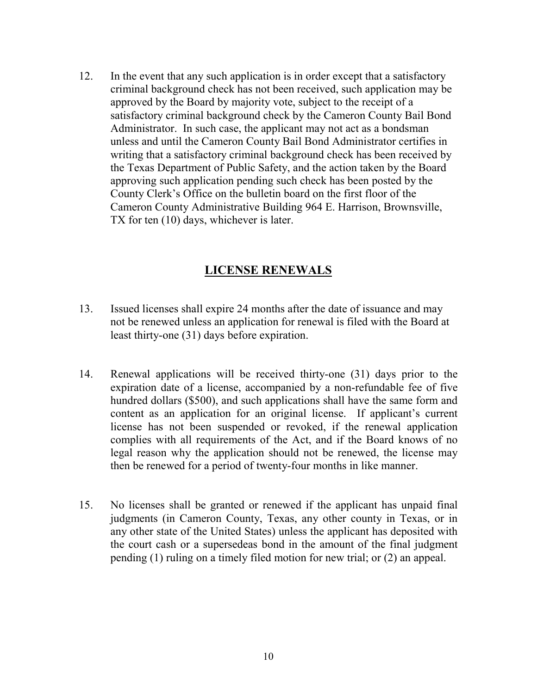12. In the event that any such application is in order except that a satisfactory criminal background check has not been received, such application may be approved by the Board by majority vote, subject to the receipt of a satisfactory criminal background check by the Cameron County Bail Bond Administrator. In such case, the applicant may not act as a bondsman unless and until the Cameron County Bail Bond Administrator certifies in writing that a satisfactory criminal background check has been received by the Texas Department of Public Safety, and the action taken by the Board approving such application pending such check has been posted by the County Clerk's Office on the bulletin board on the first floor of the Cameron County Administrative Building 964 E. Harrison, Brownsville, TX for ten (10) days, whichever is later.

#### **LICENSE RENEWALS**

- 13. Issued licenses shall expire 24 months after the date of issuance and may not be renewed unless an application for renewal is filed with the Board at least thirty-one (31) days before expiration.
- 14. Renewal applications will be received thirty-one (31) days prior to the expiration date of a license, accompanied by a non-refundable fee of five hundred dollars (\$500), and such applications shall have the same form and content as an application for an original license. If applicant's current license has not been suspended or revoked, if the renewal application complies with all requirements of the Act, and if the Board knows of no legal reason why the application should not be renewed, the license may then be renewed for a period of twenty-four months in like manner.
- 15. No licenses shall be granted or renewed if the applicant has unpaid final judgments (in Cameron County, Texas, any other county in Texas, or in any other state of the United States) unless the applicant has deposited with the court cash or a supersedeas bond in the amount of the final judgment pending (1) ruling on a timely filed motion for new trial; or (2) an appeal.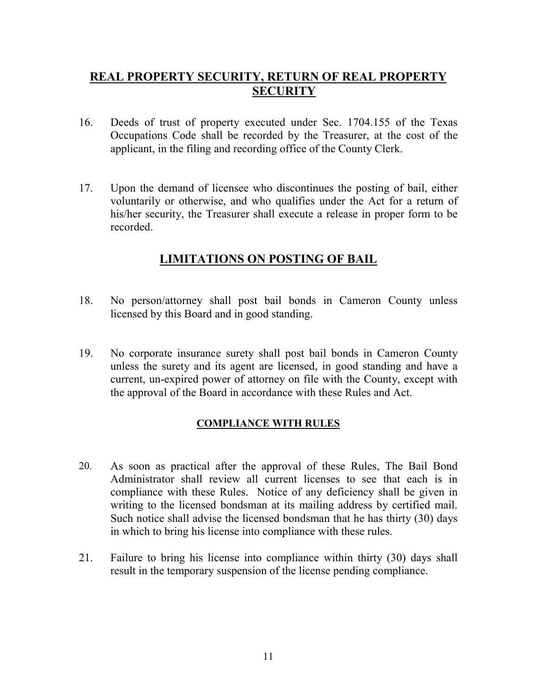### **REAL PROPERTY SECURITY, RETURN OF REAL PROPERTY SECURITY**

- 16. Deeds of trust of property executed under Sec. 1704.155 of the Texas Occupations Code shall be recorded by the Treasurer, at the cost of the applicant, in the filing and recording office of the County Clerk.
- 17. Upon the demand of licensee who discontinues the posting of bail, either voluntarily or otherwise, and who qualifies under the Act for a return of his/her security, the Treasurer shall execute a release in proper form to be recorded.

### **LIMITATIONS ON POSTING OF BAIL**

- 18. No person/attorney shall post bail bonds in Cameron County unless licensed by this Board and in good standing.
- 19. No corporate insurance surety shall post bail bonds in Cameron County unless the surety and its agent are licensed, in good standing and have a current, un-expired power of attorney on file with the County, except with the approval of the Board in accordance with these Rules and Act.

#### **COMPLIANCE WITH RULES**

- 20. As soon as practical after the approval of these Rules, The Bail Bond Administrator shall review all current licenses to see that each is in compliance with these Rules. Notice of any deficiency shall be given in writing to the licensed bondsman at its mailing address by certified mail. Such notice shall advise the licensed bondsman that he has thirty (30) days in which to bring his license into compliance with these rules.
- 21. Failure to bring his license into compliance within thirty (30) days shall result in the temporary suspension of the license pending compliance.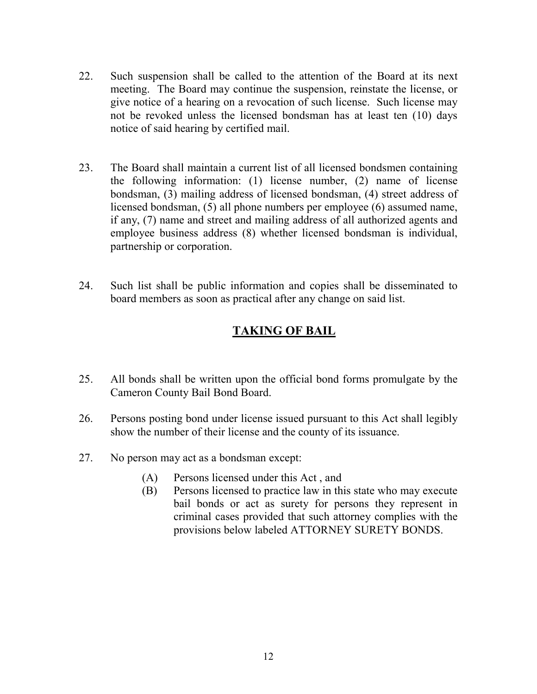- 22. Such suspension shall be called to the attention of the Board at its next meeting. The Board may continue the suspension, reinstate the license, or give notice of a hearing on a revocation of such license. Such license may not be revoked unless the licensed bondsman has at least ten (10) days notice of said hearing by certified mail.
- 23. The Board shall maintain a current list of all licensed bondsmen containing the following information: (1) license number, (2) name of license bondsman, (3) mailing address of licensed bondsman, (4) street address of licensed bondsman, (5) all phone numbers per employee (6) assumed name, if any, (7) name and street and mailing address of all authorized agents and employee business address (8) whether licensed bondsman is individual, partnership or corporation.
- 24. Such list shall be public information and copies shall be disseminated to board members as soon as practical after any change on said list.

## **TAKING OF BAIL**

- 25. All bonds shall be written upon the official bond forms promulgate by the Cameron County Bail Bond Board.
- 26. Persons posting bond under license issued pursuant to this Act shall legibly show the number of their license and the county of its issuance.
- 27. No person may act as a bondsman except:
	- (A) Persons licensed under this Act , and
	- (B) Persons licensed to practice law in this state who may execute bail bonds or act as surety for persons they represent in criminal cases provided that such attorney complies with the provisions below labeled ATTORNEY SURETY BONDS.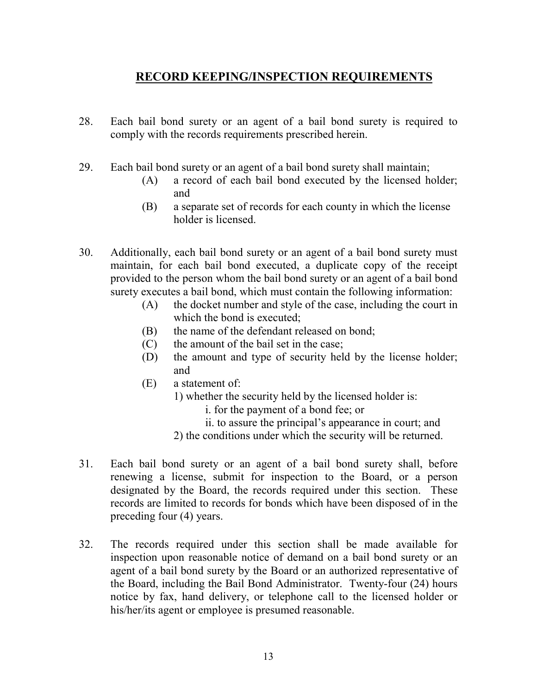### **RECORD KEEPING/INSPECTION REQUIREMENTS**

- 28. Each bail bond surety or an agent of a bail bond surety is required to comply with the records requirements prescribed herein.
- 29. Each bail bond surety or an agent of a bail bond surety shall maintain;
	- (A) a record of each bail bond executed by the licensed holder; and
	- (B) a separate set of records for each county in which the license holder is licensed.
- 30. Additionally, each bail bond surety or an agent of a bail bond surety must maintain, for each bail bond executed, a duplicate copy of the receipt provided to the person whom the bail bond surety or an agent of a bail bond surety executes a bail bond, which must contain the following information:
	- (A) the docket number and style of the case, including the court in which the bond is executed;
	- (B) the name of the defendant released on bond;
	- (C) the amount of the bail set in the case;
	- (D) the amount and type of security held by the license holder; and
	- (E) a statement of:
		- 1) whether the security held by the licensed holder is:
			- i. for the payment of a bond fee; or
			- ii. to assure the principal's appearance in court; and
		- 2) the conditions under which the security will be returned.
- 31. Each bail bond surety or an agent of a bail bond surety shall, before renewing a license, submit for inspection to the Board, or a person designated by the Board, the records required under this section. These records are limited to records for bonds which have been disposed of in the preceding four (4) years.
- 32. The records required under this section shall be made available for inspection upon reasonable notice of demand on a bail bond surety or an agent of a bail bond surety by the Board or an authorized representative of the Board, including the Bail Bond Administrator. Twenty-four (24) hours notice by fax, hand delivery, or telephone call to the licensed holder or his/her/its agent or employee is presumed reasonable.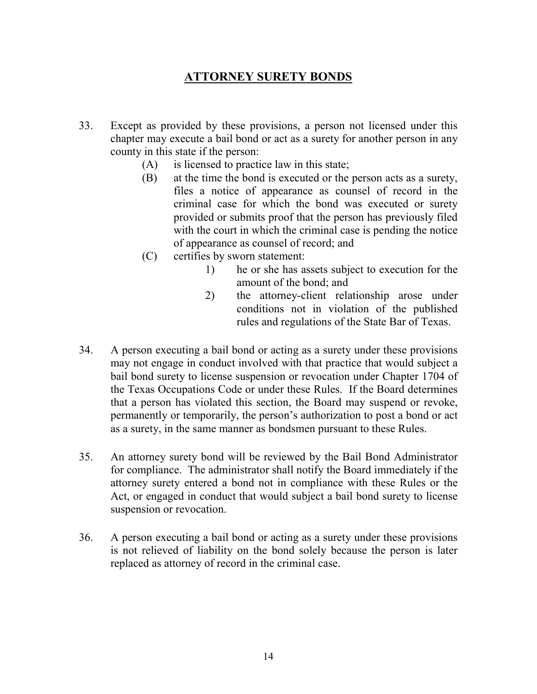# **ATTORNEY SURETY BONDS**

- 33. Except as provided by these provisions, a person not licensed under this chapter may execute a bail bond or act as a surety for another person in any county in this state if the person:
	- (A) is licensed to practice law in this state;
	- (B) at the time the bond is executed or the person acts as a surety, files a notice of appearance as counsel of record in the criminal case for which the bond was executed or surety provided or submits proof that the person has previously filed with the court in which the criminal case is pending the notice of appearance as counsel of record; and
	- (C) certifies by sworn statement:
		- 1) he or she has assets subject to execution for the amount of the bond; and
		- 2) the attorney-client relationship arose under conditions not in violation of the published rules and regulations of the State Bar of Texas.
- 34. A person executing a bail bond or acting as a surety under these provisions may not engage in conduct involved with that practice that would subject a bail bond surety to license suspension or revocation under Chapter 1704 of the Texas Occupations Code or under these Rules. If the Board determines that a person has violated this section, the Board may suspend or revoke, permanently or temporarily, the person's authorization to post a bond or act as a surety, in the same manner as bondsmen pursuant to these Rules.
- 35. An attorney surety bond will be reviewed by the Bail Bond Administrator for compliance. The administrator shall notify the Board immediately if the attorney surety entered a bond not in compliance with these Rules or the Act, or engaged in conduct that would subject a bail bond surety to license suspension or revocation.
- 36. A person executing a bail bond or acting as a surety under these provisions is not relieved of liability on the bond solely because the person is later replaced as attorney of record in the criminal case.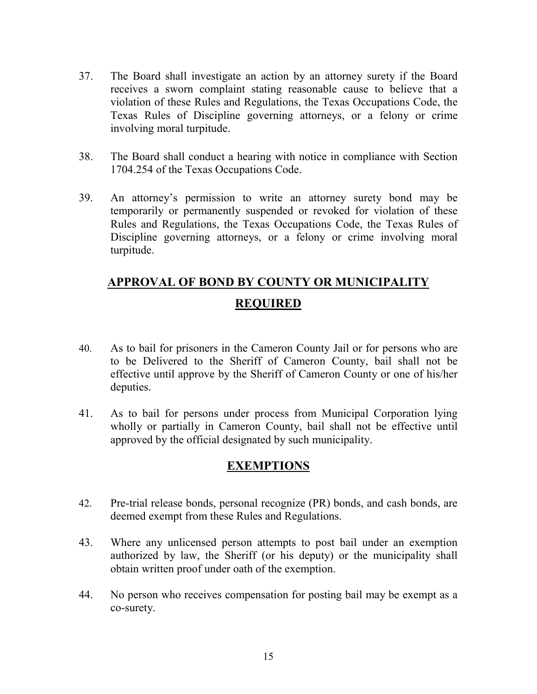- 37. The Board shall investigate an action by an attorney surety if the Board receives a sworn complaint stating reasonable cause to believe that a violation of these Rules and Regulations, the Texas Occupations Code, the Texas Rules of Discipline governing attorneys, or a felony or crime involving moral turpitude.
- 38. The Board shall conduct a hearing with notice in compliance with Section 1704.254 of the Texas Occupations Code.
- 39. An attorney's permission to write an attorney surety bond may be temporarily or permanently suspended or revoked for violation of these Rules and Regulations, the Texas Occupations Code, the Texas Rules of Discipline governing attorneys, or a felony or crime involving moral turpitude.

# **APPROVAL OF BOND BY COUNTY OR MUNICIPALITY REQUIRED**

- 40. As to bail for prisoners in the Cameron County Jail or for persons who are to be Delivered to the Sheriff of Cameron County, bail shall not be effective until approve by the Sheriff of Cameron County or one of his/her deputies.
- 41. As to bail for persons under process from Municipal Corporation lying wholly or partially in Cameron County, bail shall not be effective until approved by the official designated by such municipality.

### **EXEMPTIONS**

- 42. Pre-trial release bonds, personal recognize (PR) bonds, and cash bonds, are deemed exempt from these Rules and Regulations.
- 43. Where any unlicensed person attempts to post bail under an exemption authorized by law, the Sheriff (or his deputy) or the municipality shall obtain written proof under oath of the exemption.
- 44. No person who receives compensation for posting bail may be exempt as a co-surety.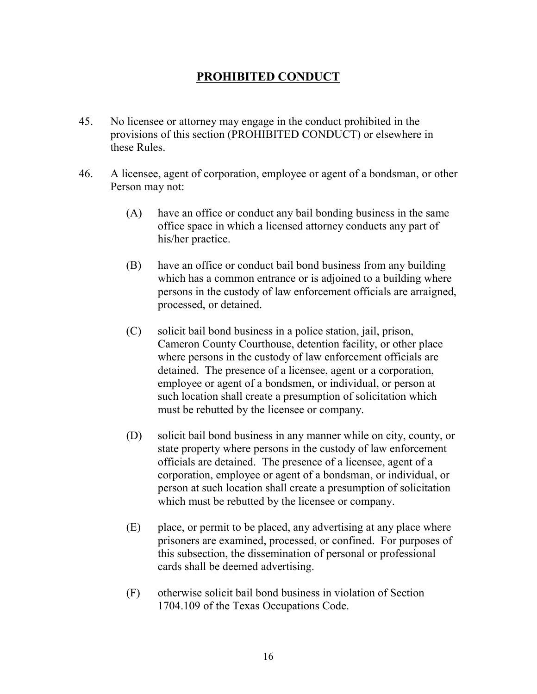# **PROHIBITED CONDUCT**

- 45. No licensee or attorney may engage in the conduct prohibited in the provisions of this section (PROHIBITED CONDUCT) or elsewhere in these Rules.
- 46. A licensee, agent of corporation, employee or agent of a bondsman, or other Person may not:
	- (A) have an office or conduct any bail bonding business in the same office space in which a licensed attorney conducts any part of his/her practice.
	- (B) have an office or conduct bail bond business from any building which has a common entrance or is adjoined to a building where persons in the custody of law enforcement officials are arraigned, processed, or detained.
	- (C) solicit bail bond business in a police station, jail, prison, Cameron County Courthouse, detention facility, or other place where persons in the custody of law enforcement officials are detained. The presence of a licensee, agent or a corporation, employee or agent of a bondsmen, or individual, or person at such location shall create a presumption of solicitation which must be rebutted by the licensee or company.
	- (D) solicit bail bond business in any manner while on city, county, or state property where persons in the custody of law enforcement officials are detained. The presence of a licensee, agent of a corporation, employee or agent of a bondsman, or individual, or person at such location shall create a presumption of solicitation which must be rebutted by the licensee or company.
	- (E) place, or permit to be placed, any advertising at any place where prisoners are examined, processed, or confined. For purposes of this subsection, the dissemination of personal or professional cards shall be deemed advertising.
	- (F) otherwise solicit bail bond business in violation of Section 1704.109 of the Texas Occupations Code.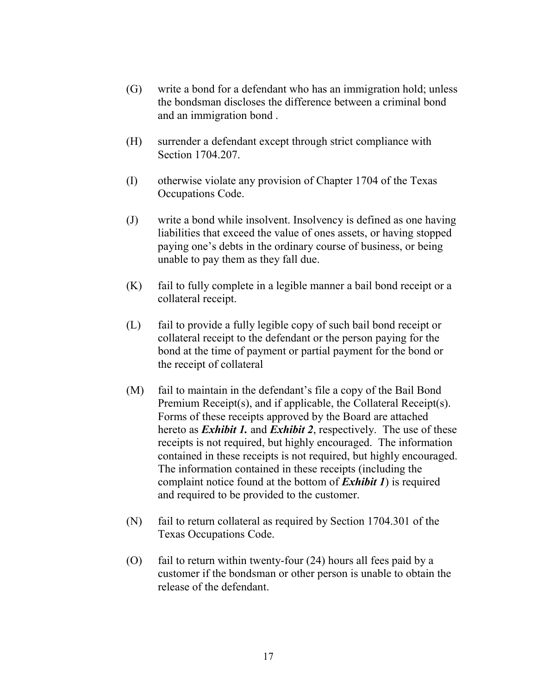- (G) write a bond for a defendant who has an immigration hold; unless the bondsman discloses the difference between a criminal bond and an immigration bond .
- (H) surrender a defendant except through strict compliance with Section 1704.207.
- (I) otherwise violate any provision of Chapter 1704 of the Texas Occupations Code.
- (J) write a bond while insolvent. Insolvency is defined as one having liabilities that exceed the value of ones assets, or having stopped paying one's debts in the ordinary course of business, or being unable to pay them as they fall due.
- (K) fail to fully complete in a legible manner a bail bond receipt or a collateral receipt.
- (L) fail to provide a fully legible copy of such bail bond receipt or collateral receipt to the defendant or the person paying for the bond at the time of payment or partial payment for the bond or the receipt of collateral
- (M) fail to maintain in the defendant's file a copy of the Bail Bond Premium Receipt(s), and if applicable, the Collateral Receipt(s). Forms of these receipts approved by the Board are attached hereto as *Exhibit 1.* and *Exhibit 2*, respectively. The use of these receipts is not required, but highly encouraged. The information contained in these receipts is not required, but highly encouraged. The information contained in these receipts (including the complaint notice found at the bottom of *Exhibit 1*) is required and required to be provided to the customer.
- (N) fail to return collateral as required by Section 1704.301 of the Texas Occupations Code.
- (O) fail to return within twenty-four (24) hours all fees paid by a customer if the bondsman or other person is unable to obtain the release of the defendant.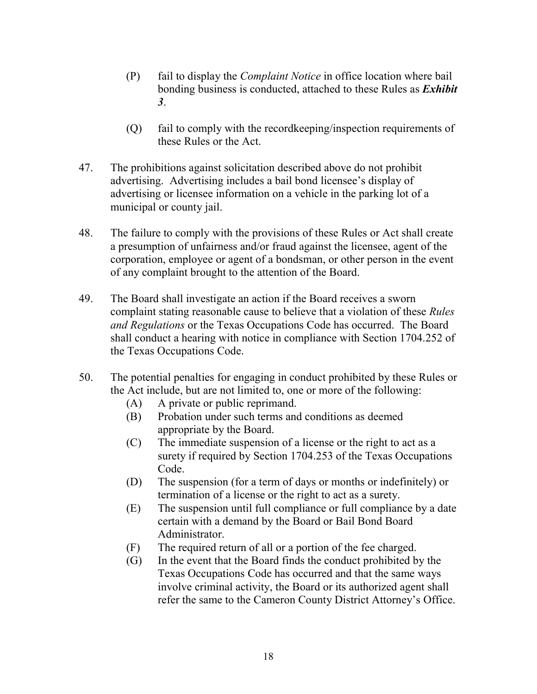- (P) fail to display the *Complaint Notice* in office location where bail bonding business is conducted, attached to these Rules as *Exhibit 3*.
- (Q) fail to comply with the recordkeeping/inspection requirements of these Rules or the Act.
- 47. The prohibitions against solicitation described above do not prohibit advertising. Advertising includes a bail bond licensee's display of advertising or licensee information on a vehicle in the parking lot of a municipal or county jail.
- 48. The failure to comply with the provisions of these Rules or Act shall create a presumption of unfairness and/or fraud against the licensee, agent of the corporation, employee or agent of a bondsman, or other person in the event of any complaint brought to the attention of the Board.
- 49. The Board shall investigate an action if the Board receives a sworn complaint stating reasonable cause to believe that a violation of these *Rules and Regulations* or the Texas Occupations Code has occurred. The Board shall conduct a hearing with notice in compliance with Section 1704.252 of the Texas Occupations Code.
- 50. The potential penalties for engaging in conduct prohibited by these Rules or the Act include, but are not limited to, one or more of the following:
	- (A) A private or public reprimand.
	- (B) Probation under such terms and conditions as deemed appropriate by the Board.
	- (C) The immediate suspension of a license or the right to act as a surety if required by Section 1704.253 of the Texas Occupations Code.
	- (D) The suspension (for a term of days or months or indefinitely) or termination of a license or the right to act as a surety.
	- (E) The suspension until full compliance or full compliance by a date certain with a demand by the Board or Bail Bond Board Administrator.
	- (F) The required return of all or a portion of the fee charged.
	- (G) In the event that the Board finds the conduct prohibited by the Texas Occupations Code has occurred and that the same ways involve criminal activity, the Board or its authorized agent shall refer the same to the Cameron County District Attorney's Office.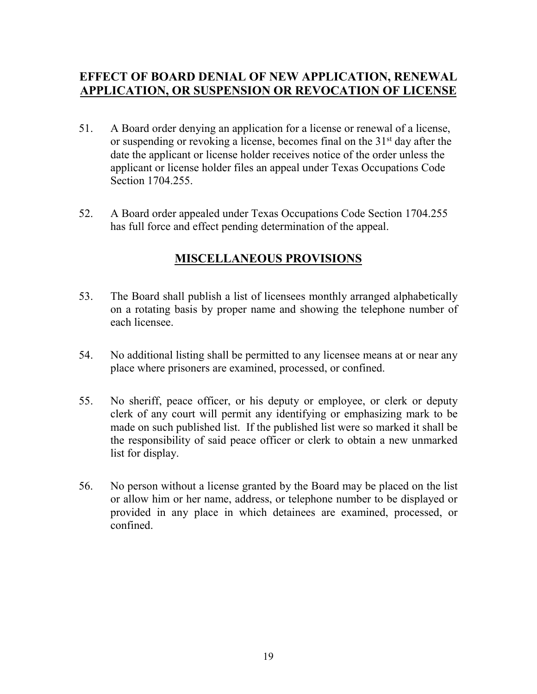### **EFFECT OF BOARD DENIAL OF NEW APPLICATION, RENEWAL APPLICATION, OR SUSPENSION OR REVOCATION OF LICENSE**

- 51. A Board order denying an application for a license or renewal of a license, or suspending or revoking a license, becomes final on the  $31<sup>st</sup>$  day after the date the applicant or license holder receives notice of the order unless the applicant or license holder files an appeal under Texas Occupations Code Section 1704.255.
- 52. A Board order appealed under Texas Occupations Code Section 1704.255 has full force and effect pending determination of the appeal.

# **MISCELLANEOUS PROVISIONS**

- 53. The Board shall publish a list of licensees monthly arranged alphabetically on a rotating basis by proper name and showing the telephone number of each licensee.
- 54. No additional listing shall be permitted to any licensee means at or near any place where prisoners are examined, processed, or confined.
- 55. No sheriff, peace officer, or his deputy or employee, or clerk or deputy clerk of any court will permit any identifying or emphasizing mark to be made on such published list. If the published list were so marked it shall be the responsibility of said peace officer or clerk to obtain a new unmarked list for display.
- 56. No person without a license granted by the Board may be placed on the list or allow him or her name, address, or telephone number to be displayed or provided in any place in which detainees are examined, processed, or confined.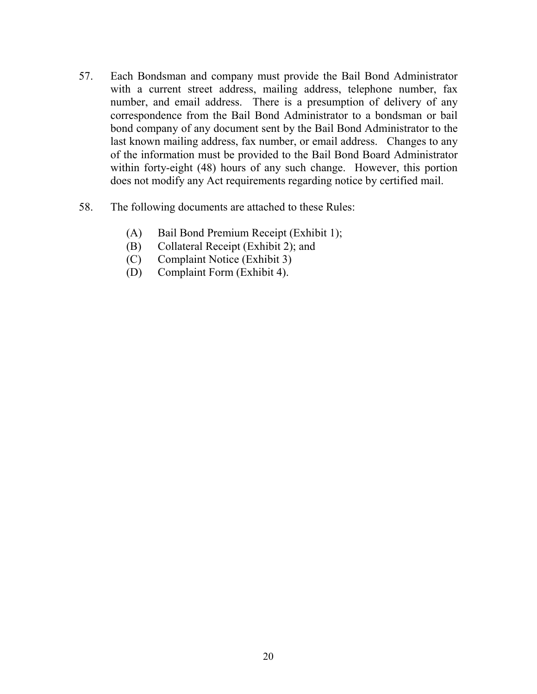- 57. Each Bondsman and company must provide the Bail Bond Administrator with a current street address, mailing address, telephone number, fax number, and email address. There is a presumption of delivery of any correspondence from the Bail Bond Administrator to a bondsman or bail bond company of any document sent by the Bail Bond Administrator to the last known mailing address, fax number, or email address. Changes to any of the information must be provided to the Bail Bond Board Administrator within forty-eight (48) hours of any such change. However, this portion does not modify any Act requirements regarding notice by certified mail.
- 58. The following documents are attached to these Rules:
	- (A) Bail Bond Premium Receipt (Exhibit 1);
	- (B) Collateral Receipt (Exhibit 2); and
	- (C) Complaint Notice (Exhibit 3)
	- (D) Complaint Form (Exhibit 4).